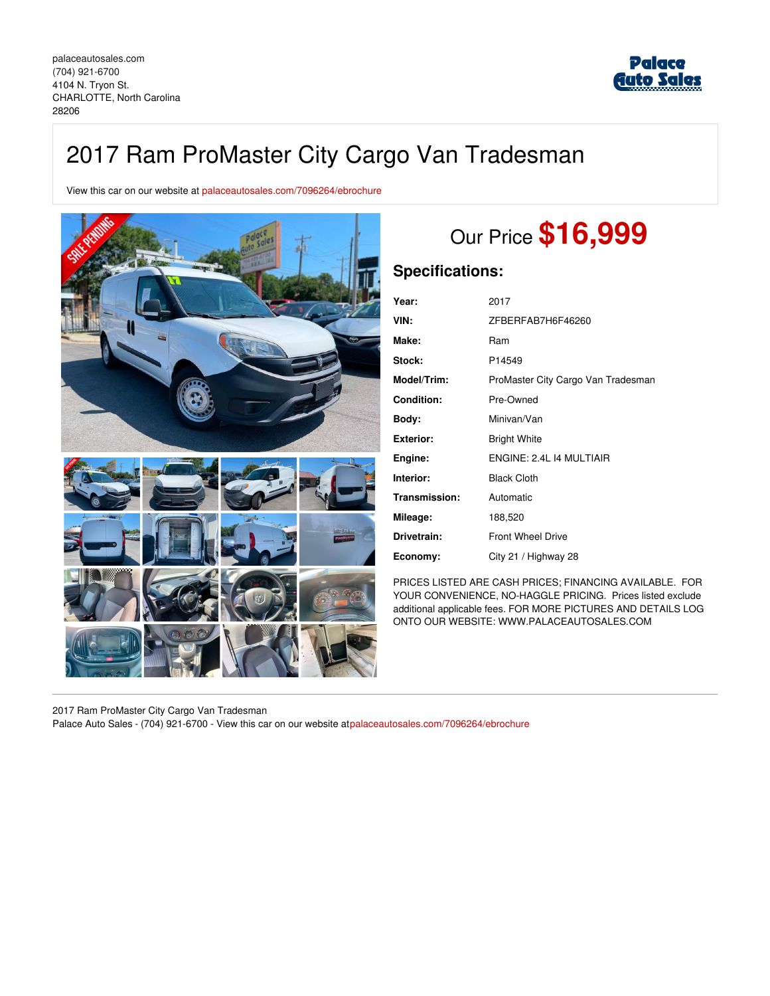

# 2017 Ram ProMaster City Cargo Van Tradesman

View this car on our website at [palaceautosales.com/7096264/ebrochure](https://palaceautosales.com/vehicle/7096264/2017-ram-promaster-city-cargo-van-tradesman-charlotte-north-carolina-28206/7096264/ebrochure)



# Our Price **\$16,999**

### **Specifications:**

| Year:             | 2017                               |
|-------------------|------------------------------------|
| VIN:              | ZFBERFAB7H6F46260                  |
| Make:             | Ram                                |
| Stock:            | P14549                             |
| Model/Trim:       | ProMaster City Cargo Van Tradesman |
| <b>Condition:</b> | Pre-Owned                          |
| Body:             | Minivan/Van                        |
| <b>Exterior:</b>  | <b>Bright White</b>                |
| Engine:           | ENGINE: 2.4L 14 MULTIAIR           |
| Interior:         | <b>Black Cloth</b>                 |
| Transmission:     | Automatic                          |
| Mileage:          | 188,520                            |
| Drivetrain:       | <b>Front Wheel Drive</b>           |
| Economy:          | City 21 / Highway 28               |

PRICES LISTED ARE CASH PRICES; FINANCING AVAILABLE. FOR YOUR CONVENIENCE, NO-HAGGLE PRICING. Prices listed exclude additional applicable fees. FOR MORE PICTURES AND DETAILS LOG ONTO OUR WEBSITE: WWW.PALACEAUTOSALES.COM

2017 Ram ProMaster City Cargo Van Tradesman Palace Auto Sales - (704) 921-6700 - View this car on our website a[tpalaceautosales.com/7096264/ebrochure](https://palaceautosales.com/vehicle/7096264/2017-ram-promaster-city-cargo-van-tradesman-charlotte-north-carolina-28206/7096264/ebrochure)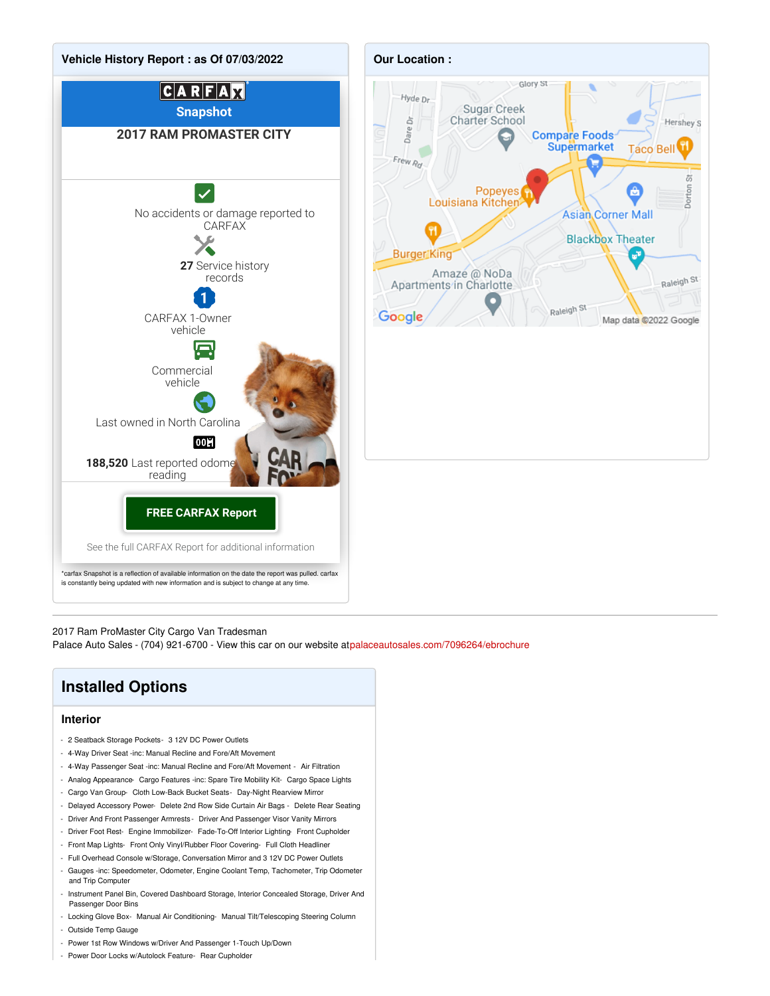

2017 Ram ProMaster City Cargo Van Tradesman

Palace Auto Sales - (704) 921-6700 - View this car on our website a[tpalaceautosales.com/7096264/ebrochure](https://palaceautosales.com/vehicle/7096264/2017-ram-promaster-city-cargo-van-tradesman-charlotte-north-carolina-28206/7096264/ebrochure)

## **Installed Options**

#### **Interior**

- 2 Seatback Storage Pockets- 3 12V DC Power Outlets
- 4-Way Driver Seat -inc: Manual Recline and Fore/Aft Movement
- 4-Way Passenger Seat -inc: Manual Recline and Fore/Aft Movement Air Filtration
- Analog Appearance- Cargo Features -inc: Spare Tire Mobility Kit- Cargo Space Lights
- Cargo Van Group- Cloth Low-Back Bucket Seats- Day-Night Rearview Mirror
- Delayed Accessory Power- Delete 2nd Row Side Curtain Air Bags Delete Rear Seating
- Driver And Front Passenger Armrests Driver And Passenger Visor Vanity Mirrors
- Driver Foot Rest- Engine Immobilizer- Fade-To-Off Interior Lighting- Front Cupholder
- Front Map Lights- Front Only Vinyl/Rubber Floor Covering- Full Cloth Headliner
- Full Overhead Console w/Storage, Conversation Mirror and 3 12V DC Power Outlets
- Gauges -inc: Speedometer, Odometer, Engine Coolant Temp, Tachometer, Trip Odometer and Trip Computer
- Instrument Panel Bin, Covered Dashboard Storage, Interior Concealed Storage, Driver And Passenger Door Bins
- Locking Glove Box- Manual Air Conditioning- Manual Tilt/Telescoping Steering Column
- Outside Temp Gauge
- Power 1st Row Windows w/Driver And Passenger 1-Touch Up/Down
- Power Door Locks w/Autolock Feature- Rear Cupholder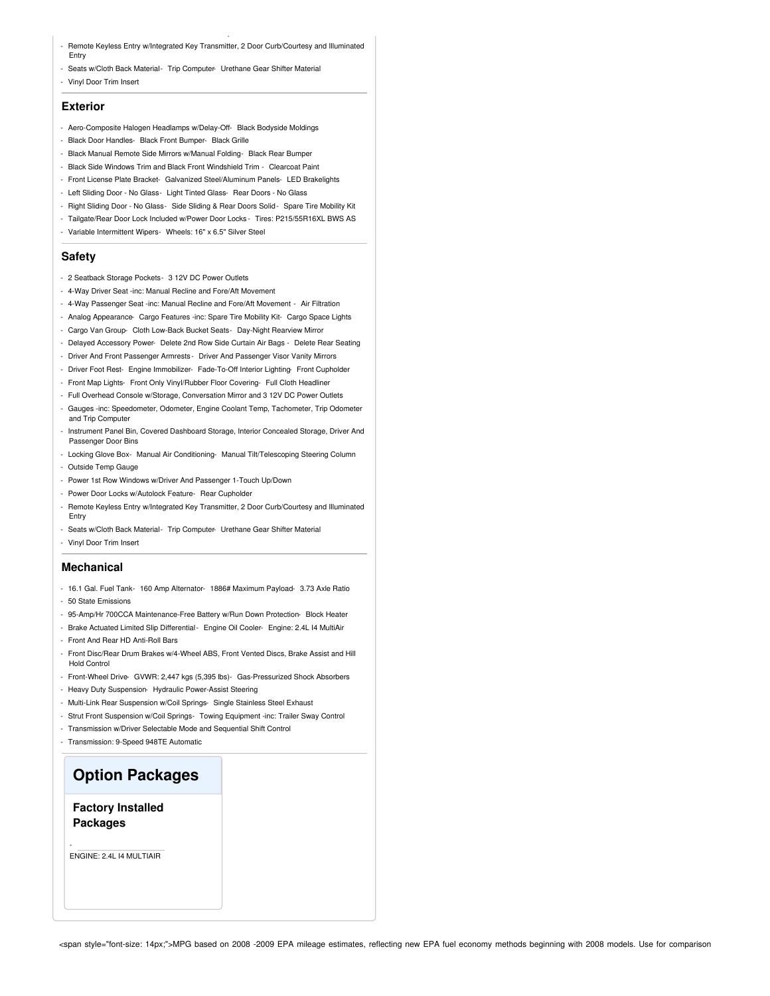- Remote Keyless Entry w/Integrated Key Transmitter, 2 Door Curb/Courtesy and Illuminated Entry
- Seats w/Cloth Back Material- Trip Computer- Urethane Gear Shifter Material
- Vinyl Door Trim Insert

#### **Exterior**

- Aero-Composite Halogen Headlamps w/Delay-Off- Black Bodyside Moldings
- Black Door Handles- Black Front Bumper- Black Grille

- Power Door Locks w/Autolock Feature- Rear Cupholder

- Black Manual Remote Side Mirrors w/Manual Folding- Black Rear Bumper
- Black Side Windows Trim and Black Front Windshield Trim Clearcoat Paint
- Front License Plate Bracket- Galvanized Steel/Aluminum Panels- LED Brakelights
- Left Sliding Door No Glass- Light Tinted Glass- Rear Doors No Glass
- Right Sliding Door No Glass- Side Sliding & Rear Doors Solid- Spare Tire Mobility Kit
- Tailgate/Rear Door Lock Included w/Power Door Locks Tires: P215/55R16XL BWS AS
- Variable Intermittent Wipers- Wheels: 16" x 6.5" Silver Steel

#### **Safety**

- 2 Seatback Storage Pockets- 3 12V DC Power Outlets
- 4-Way Driver Seat -inc: Manual Recline and Fore/Aft Movement
- 4-Way Passenger Seat -inc: Manual Recline and Fore/Aft Movement Air Filtration
- Analog Appearance- Cargo Features -inc: Spare Tire Mobility Kit- Cargo Space Lights
- Cargo Van Group- Cloth Low-Back Bucket Seats- Day-Night Rearview Mirror
- Delayed Accessory Power- Delete 2nd Row Side Curtain Air Bags Delete Rear Seating
- Driver And Front Passenger Armrests Driver And Passenger Visor Vanity Mirrors
- Driver Foot Rest- Engine Immobilizer- Fade-To-Off Interior Lighting- Front Cupholder
- Front Map Lights- Front Only Vinyl/Rubber Floor Covering- Full Cloth Headliner
- Full Overhead Console w/Storage, Conversation Mirror and 3 12V DC Power Outlets - Gauges -inc: Speedometer, Odometer, Engine Coolant Temp, Tachometer, Trip Odometer and Trip Computer
- Instrument Panel Bin, Covered Dashboard Storage, Interior Concealed Storage, Driver And Passenger Door Bins
- Locking Glove Box- Manual Air Conditioning- Manual Tilt/Telescoping Steering Column - Outside Temp Gauge
- Power 1st Row Windows w/Driver And Passenger 1-Touch Up/Down
- Power Door Locks w/Autolock Feature- Rear Cupholder
- Remote Keyless Entry w/Integrated Key Transmitter, 2 Door Curb/Courtesy and Illuminated Entry
- Seats w/Cloth Back Material- Trip Computer- Urethane Gear Shifter Material
- Vinyl Door Trim Insert

#### **Mechanical**

- 16.1 Gal. Fuel Tank- 160 Amp Alternator- 1886# Maximum Payload- 3.73 Axle Ratio - 50 State Emissions
- 95-Amp/Hr 700CCA Maintenance-Free Battery w/Run Down Protection- Block Heater
- Brake Actuated Limited Slip Differential Engine Oil Cooler- Engine: 2.4L I4 MultiAir
- Front And Rear HD Anti-Roll Bars
- Front Disc/Rear Drum Brakes w/4-Wheel ABS, Front Vented Discs, Brake Assist and Hill Hold Control
- Front-Wheel Drive- GVWR: 2,447 kgs (5,395 lbs)- Gas-Pressurized Shock Absorbers
- Heavy Duty Suspension- Hydraulic Power-Assist Steering
- Multi-Link Rear Suspension w/Coil Springs- Single Stainless Steel Exhaust
- Strut Front Suspension w/Coil Springs- Towing Equipment -inc: Trailer Sway Control
- Transmission w/Driver Selectable Mode and Sequential Shift Control
- Transmission: 9-Speed 948TE Automatic

### **Option Packages**

#### **Factory Installed Packages**

ENGINE: 2.4L I4 MULTIAIR

-